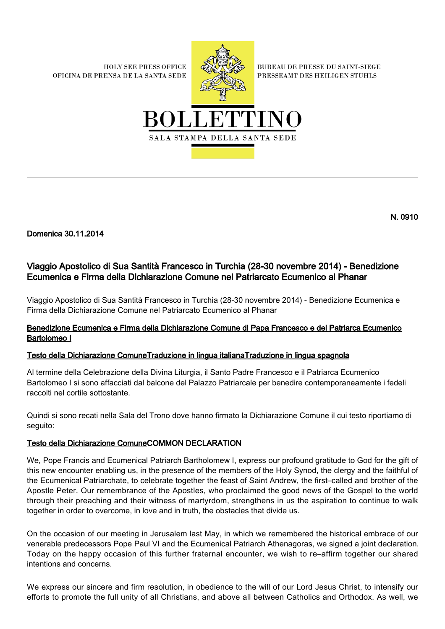**HOLY SEE PRESS OFFICE** OFICINA DE PRENSA DE LA SANTA SEDE



**BUREAU DE PRESSE DU SAINT-SIEGE** PRESSEAMT DES HEILIGEN STUHLS



N. 0910

Domenica 30.11.2014

# Viaggio Apostolico di Sua Santità Francesco in Turchia (28-30 novembre 2014) - Benedizione Ecumenica e Firma della Dichiarazione Comune nel Patriarcato Ecumenico al Phanar

Viaggio Apostolico di Sua Santità Francesco in Turchia (28-30 novembre 2014) - Benedizione Ecumenica e Firma della Dichiarazione Comune nel Patriarcato Ecumenico al Phanar

## Benedizione Ecumenica e Firma della Dichiarazione Comune di Papa Francesco e del Patriarca Ecumenico Bartolomeo I

### [Testo della Dichiarazione Comune](#page-0-0)[Traduzione in lingua italiana](#page-1-0)[Traduzione in lingua spagnola](#page-2-0)

Al termine della Celebrazione della Divina Liturgia, il Santo Padre Francesco e il Patriarca Ecumenico Bartolomeo I si sono affacciati dal balcone del Palazzo Patriarcale per benedire contemporaneamente i fedeli raccolti nel cortile sottostante.

Quindi si sono recati nella Sala del Trono dove hanno firmato la Dichiarazione Comune il cui testo riportiamo di seguito:

### <span id="page-0-0"></span>Testo della Dichiarazione ComuneCOMMON DECLARATION

We, Pope Francis and Ecumenical Patriarch Bartholomew I, express our profound gratitude to God for the gift of this new encounter enabling us, in the presence of the members of the Holy Synod, the clergy and the faithful of the Ecumenical Patriarchate, to celebrate together the feast of Saint Andrew, the first–called and brother of the Apostle Peter. Our remembrance of the Apostles, who proclaimed the good news of the Gospel to the world through their preaching and their witness of martyrdom, strengthens in us the aspiration to continue to walk together in order to overcome, in love and in truth, the obstacles that divide us.

On the occasion of our meeting in Jerusalem last May, in which we remembered the historical embrace of our venerable predecessors Pope Paul VI and the Ecumenical Patriarch Athenagoras, we signed a joint declaration. Today on the happy occasion of this further fraternal encounter, we wish to re–affirm together our shared intentions and concerns.

We express our sincere and firm resolution, in obedience to the will of our Lord Jesus Christ, to intensify our efforts to promote the full unity of all Christians, and above all between Catholics and Orthodox. As well, we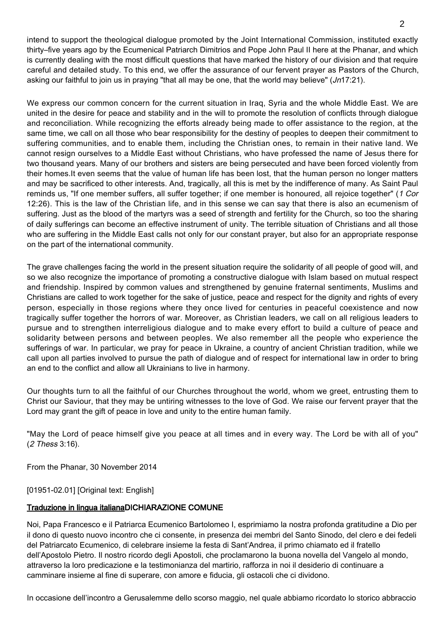intend to support the theological dialogue promoted by the Joint International Commission, instituted exactly thirty–five years ago by the Ecumenical Patriarch Dimitrios and Pope John Paul II here at the Phanar, and which is currently dealing with the most difficult questions that have marked the history of our division and that require careful and detailed study. To this end, we offer the assurance of our fervent prayer as Pastors of the Church, asking our faithful to join us in praying "that all may be one, that the world may believe" (Jn17:21).

We express our common concern for the current situation in Iraq, Syria and the whole Middle East. We are united in the desire for peace and stability and in the will to promote the resolution of conflicts through dialogue and reconciliation. While recognizing the efforts already being made to offer assistance to the region, at the same time, we call on all those who bear responsibility for the destiny of peoples to deepen their commitment to suffering communities, and to enable them, including the Christian ones, to remain in their native land. We cannot resign ourselves to a Middle East without Christians, who have professed the name of Jesus there for two thousand years. Many of our brothers and sisters are being persecuted and have been forced violently from their homes.It even seems that the value of human life has been lost, that the human person no longer matters and may be sacrificed to other interests. And, tragically, all this is met by the indifference of many. As Saint Paul reminds us, "If one member suffers, all suffer together; if one member is honoured, all rejoice together" (1 Cor 12:26). This is the law of the Christian life, and in this sense we can say that there is also an ecumenism of suffering. Just as the blood of the martyrs was a seed of strength and fertility for the Church, so too the sharing of daily sufferings can become an effective instrument of unity. The terrible situation of Christians and all those who are suffering in the Middle East calls not only for our constant prayer, but also for an appropriate response on the part of the international community.

The grave challenges facing the world in the present situation require the solidarity of all people of good will, and so we also recognize the importance of promoting a constructive dialogue with Islam based on mutual respect and friendship. Inspired by common values and strengthened by genuine fraternal sentiments, Muslims and Christians are called to work together for the sake of justice, peace and respect for the dignity and rights of every person, especially in those regions where they once lived for centuries in peaceful coexistence and now tragically suffer together the horrors of war. Moreover, as Christian leaders, we call on all religious leaders to pursue and to strengthen interreligious dialogue and to make every effort to build a culture of peace and solidarity between persons and between peoples. We also remember all the people who experience the sufferings of war. In particular, we pray for peace in Ukraine, a country of ancient Christian tradition, while we call upon all parties involved to pursue the path of dialogue and of respect for international law in order to bring an end to the conflict and allow all Ukrainians to live in harmony.

Our thoughts turn to all the faithful of our Churches throughout the world, whom we greet, entrusting them to Christ our Saviour, that they may be untiring witnesses to the love of God. We raise our fervent prayer that the Lord may grant the gift of peace in love and unity to the entire human family.

"May the Lord of peace himself give you peace at all times and in every way. The Lord be with all of you" (2 Thess 3:16).

From the Phanar, 30 November 2014

[01951-02.01] [Original text: English]

#### <span id="page-1-0"></span>Traduzione in lingua italianaDICHIARAZIONE COMUNE

Noi, Papa Francesco e il Patriarca Ecumenico Bartolomeo I, esprimiamo la nostra profonda gratitudine a Dio per il dono di questo nuovo incontro che ci consente, in presenza dei membri del Santo Sinodo, del clero e dei fedeli del Patriarcato Ecumenico, di celebrare insieme la festa di Sant'Andrea, il primo chiamato ed il fratello dell'Apostolo Pietro. Il nostro ricordo degli Apostoli, che proclamarono la buona novella del Vangelo al mondo, attraverso la loro predicazione e la testimonianza del martirio, rafforza in noi il desiderio di continuare a camminare insieme al fine di superare, con amore e fiducia, gli ostacoli che ci dividono.

In occasione dell'incontro a Gerusalemme dello scorso maggio, nel quale abbiamo ricordato lo storico abbraccio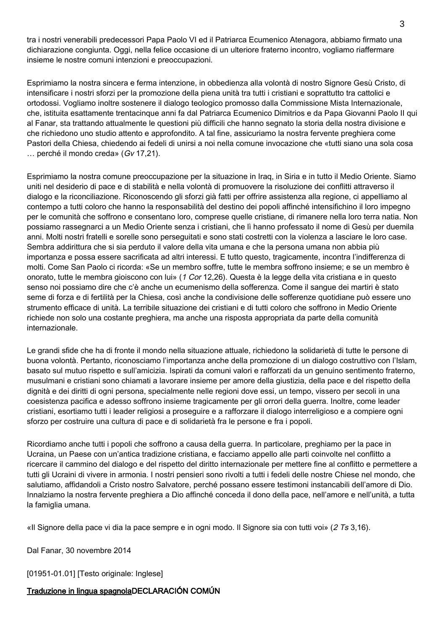tra i nostri venerabili predecessori Papa Paolo VI ed il Patriarca Ecumenico Atenagora, abbiamo firmato una dichiarazione congiunta. Oggi, nella felice occasione di un ulteriore fraterno incontro, vogliamo riaffermare insieme le nostre comuni intenzioni e preoccupazioni.

Esprimiamo la nostra sincera e ferma intenzione, in obbedienza alla volontà di nostro Signore Gesù Cristo, di intensificare i nostri sforzi per la promozione della piena unità tra tutti i cristiani e soprattutto tra cattolici e ortodossi. Vogliamo inoltre sostenere il dialogo teologico promosso dalla Commissione Mista Internazionale, che, istituita esattamente trentacinque anni fa dal Patriarca Ecumenico Dimitrios e da Papa Giovanni Paolo II qui al Fanar, sta trattando attualmente le questioni più difficili che hanno segnato la storia della nostra divisione e che richiedono uno studio attento e approfondito. A tal fine, assicuriamo la nostra fervente preghiera come Pastori della Chiesa, chiedendo ai fedeli di unirsi a noi nella comune invocazione che «tutti siano una sola cosa … perché il mondo creda» (Gv 17,21).

Esprimiamo la nostra comune preoccupazione per la situazione in Iraq, in Siria e in tutto il Medio Oriente. Siamo uniti nel desiderio di pace e di stabilità e nella volontà di promuovere la risoluzione dei conflitti attraverso il dialogo e la riconciliazione. Riconoscendo gli sforzi già fatti per offrire assistenza alla regione, ci appelliamo al contempo a tutti coloro che hanno la responsabilità del destino dei popoli affinché intensifichino il loro impegno per le comunità che soffrono e consentano loro, comprese quelle cristiane, di rimanere nella loro terra natia. Non possiamo rassegnarci a un Medio Oriente senza i cristiani, che lì hanno professato il nome di Gesù per duemila anni. Molti nostri fratelli e sorelle sono perseguitati e sono stati costretti con la violenza a lasciare le loro case. Sembra addirittura che si sia perduto il valore della vita umana e che la persona umana non abbia più importanza e possa essere sacrificata ad altri interessi. E tutto questo, tragicamente, incontra l'indifferenza di molti. Come San Paolo ci ricorda: «Se un membro soffre, tutte le membra soffrono insieme; e se un membro è onorato, tutte le membra gioiscono con lui» (1 Cor 12,26). Questa è la legge della vita cristiana e in questo senso noi possiamo dire che c'è anche un ecumenismo della sofferenza. Come il sangue dei martiri è stato seme di forza e di fertilità per la Chiesa, così anche la condivisione delle sofferenze quotidiane può essere uno strumento efficace di unità. La terribile situazione dei cristiani e di tutti coloro che soffrono in Medio Oriente richiede non solo una costante preghiera, ma anche una risposta appropriata da parte della comunità internazionale.

Le grandi sfide che ha di fronte il mondo nella situazione attuale, richiedono la solidarietà di tutte le persone di buona volontà. Pertanto, riconosciamo l'importanza anche della promozione di un dialogo costruttivo con l'Islam, basato sul mutuo rispetto e sull'amicizia. Ispirati da comuni valori e rafforzati da un genuino sentimento fraterno, musulmani e cristiani sono chiamati a lavorare insieme per amore della giustizia, della pace e del rispetto della dignità e dei diritti di ogni persona, specialmente nelle regioni dove essi, un tempo, vissero per secoli in una coesistenza pacifica e adesso soffrono insieme tragicamente per gli orrori della guerra. Inoltre, come leader cristiani, esortiamo tutti i leader religiosi a proseguire e a rafforzare il dialogo interreligioso e a compiere ogni sforzo per costruire una cultura di pace e di solidarietà fra le persone e fra i popoli.

Ricordiamo anche tutti i popoli che soffrono a causa della guerra. In particolare, preghiamo per la pace in Ucraina, un Paese con un'antica tradizione cristiana, e facciamo appello alle parti coinvolte nel conflitto a ricercare il cammino del dialogo e del rispetto del diritto internazionale per mettere fine al conflitto e permettere a tutti gli Ucraini di vivere in armonia. I nostri pensieri sono rivolti a tutti i fedeli delle nostre Chiese nel mondo, che salutiamo, affidandoli a Cristo nostro Salvatore, perché possano essere testimoni instancabili dell'amore di Dio. Innalziamo la nostra fervente preghiera a Dio affinché conceda il dono della pace, nell'amore e nell'unità, a tutta la famiglia umana.

«Il Signore della pace vi dia la pace sempre e in ogni modo. Il Signore sia con tutti voi» (2 Ts 3,16).

Dal Fanar, 30 novembre 2014

[01951-01.01] [Testo originale: Inglese]

### <span id="page-2-0"></span>Traduzione in lingua spagnolaDECLARACIÓN COMÚN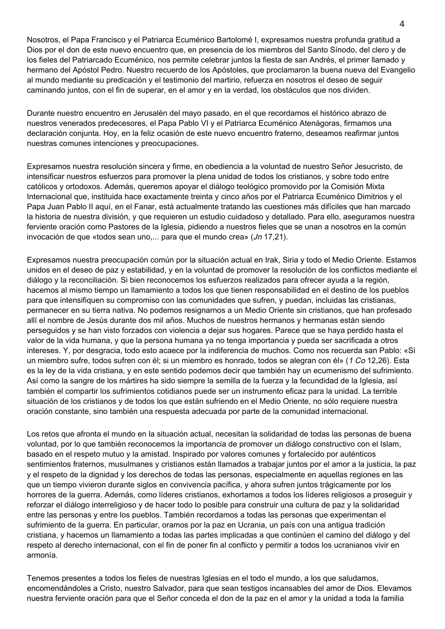Nosotros, el Papa Francisco y el Patriarca Ecuménico Bartolomé I, expresamos nuestra profunda gratitud a Dios por el don de este nuevo encuentro que, en presencia de los miembros del Santo Sínodo, del clero y de los fieles del Patriarcado Ecuménico, nos permite celebrar juntos la fiesta de san Andrés, el primer llamado y hermano del Apóstol Pedro. Nuestro recuerdo de los Apóstoles, que proclamaron la buena nueva del Evangelio al mundo mediante su predicación y el testimonio del martirio, refuerza en nosotros el deseo de seguir caminando juntos, con el fin de superar, en el amor y en la verdad, los obstáculos que nos dividen.

Durante nuestro encuentro en Jerusalén del mayo pasado, en el que recordamos el histórico abrazo de nuestros venerados predecesores, el Papa Pablo VI y el Patriarca Ecuménico Atenágoras, firmamos una declaración conjunta. Hoy, en la feliz ocasión de este nuevo encuentro fraterno, deseamos reafirmar juntos nuestras comunes intenciones y preocupaciones.

Expresamos nuestra resolución sincera y firme, en obediencia a la voluntad de nuestro Señor Jesucristo, de intensificar nuestros esfuerzos para promover la plena unidad de todos los cristianos, y sobre todo entre católicos y ortodoxos. Además, queremos apoyar el diálogo teológico promovido por la Comisión Mixta Internacional que, instituida hace exactamente treinta y cinco años por el Patriarca Ecuménico Dimitrios y el Papa Juan Pablo II aquí, en el Fanar, está actualmente tratando las cuestiones más difíciles que han marcado la historia de nuestra división, y que requieren un estudio cuidadoso y detallado. Para ello, aseguramos nuestra ferviente oración como Pastores de la Iglesia, pidiendo a nuestros fieles que se unan a nosotros en la común invocación de que «todos sean uno,... para que el mundo crea» (Jn 17,21).

Expresamos nuestra preocupación común por la situación actual en Irak, Siria y todo el Medio Oriente. Estamos unidos en el deseo de paz y estabilidad, y en la voluntad de promover la resolución de los conflictos mediante el diálogo y la reconciliación. Si bien reconocemos los esfuerzos realizados para ofrecer ayuda a la región, hacemos al mismo tiempo un llamamiento a todos los que tienen responsabilidad en el destino de los pueblos para que intensifiquen su compromiso con las comunidades que sufren, y puedan, incluidas las cristianas, permanecer en su tierra nativa. No podemos resignarnos a un Medio Oriente sin cristianos, que han profesado allí el nombre de Jesús durante dos mil años. Muchos de nuestros hermanos y hermanas están siendo perseguidos y se han visto forzados con violencia a dejar sus hogares. Parece que se haya perdido hasta el valor de la vida humana, y que la persona humana ya no tenga importancia y pueda ser sacrificada a otros intereses. Y, por desgracia, todo esto acaece por la indiferencia de muchos. Como nos recuerda san Pablo: «Si un miembro sufre, todos sufren con él; si un miembro es honrado, todos se alegran con él» (1 Co 12,26). Esta es la ley de la vida cristiana, y en este sentido podemos decir que también hay un ecumenismo del sufrimiento. Así como la sangre de los mártires ha sido siempre la semilla de la fuerza y la fecundidad de la Iglesia, así también el compartir los sufrimientos cotidianos puede ser un instrumento eficaz para la unidad. La terrible situación de los cristianos y de todos los que están sufriendo en el Medio Oriente, no sólo requiere nuestra oración constante, sino también una respuesta adecuada por parte de la comunidad internacional.

Los retos que afronta el mundo en la situación actual, necesitan la solidaridad de todas las personas de buena voluntad, por lo que también reconocemos la importancia de promover un diálogo constructivo con el Islam, basado en el respeto mutuo y la amistad. Inspirado por valores comunes y fortalecido por auténticos sentimientos fraternos, musulmanes y cristianos están llamados a trabajar juntos por el amor a la justicia, la paz y el respeto de la dignidad y los derechos de todas las personas, especialmente en aquellas regiones en las que un tiempo vivieron durante siglos en convivencia pacífica, y ahora sufren juntos trágicamente por los horrores de la guerra. Además, como líderes cristianos, exhortamos a todos los líderes religiosos a proseguir y reforzar el diálogo interreligioso y de hacer todo lo posible para construir una cultura de paz y la solidaridad entre las personas y entre los pueblos. También recordamos a todas las personas que experimentan el sufrimiento de la guerra. En particular, oramos por la paz en Ucrania, un país con una antigua tradición cristiana, y hacemos un llamamiento a todas las partes implicadas a que continúen el camino del diálogo y del respeto al derecho internacional, con el fin de poner fin al conflicto y permitir a todos los ucranianos vivir en armonía.

Tenemos presentes a todos los fieles de nuestras Iglesias en el todo el mundo, a los que saludamos, encomendándoles a Cristo, nuestro Salvador, para que sean testigos incansables del amor de Dios. Elevamos nuestra ferviente oración para que el Señor conceda el don de la paz en el amor y la unidad a toda la familia